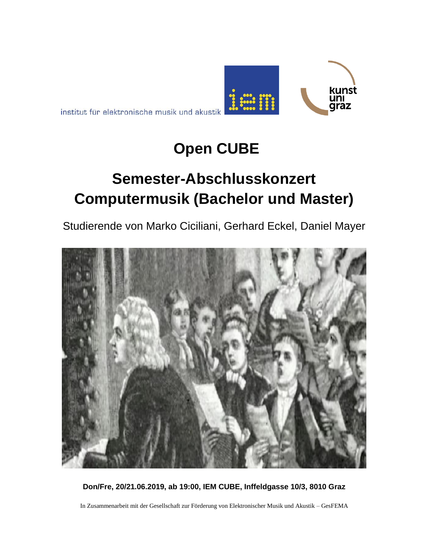institut für elektronische musik und akustik

## **Open CUBE**

kunst<br>uni<br>graz

# **Semester-Abschlusskonzert Computermusik (Bachelor und Master)**

Studierende von Marko Ciciliani, Gerhard Eckel, Daniel Mayer



**Don/Fre, 20/21.06.2019, ab 19:00, IEM CUBE, Inffeldgasse 10/3, 8010 Graz**

In Zusammenarbeit mit der Gesellschaft zur Förderung von Elektronischer Musik und Akustik – GesFEMA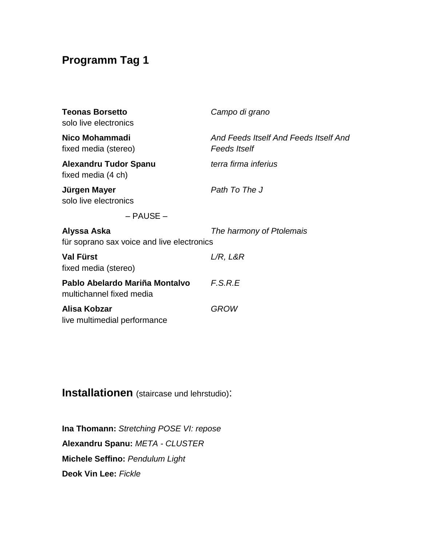### **Programm Tag 1**

| <b>Teonas Borsetto</b><br>solo live electronics            | Campo di grano                                               |
|------------------------------------------------------------|--------------------------------------------------------------|
| Nico Mohammadi<br>fixed media (stereo)                     | And Feeds Itself And Feeds Itself And<br><b>Feeds Itself</b> |
| <b>Alexandru Tudor Spanu</b><br>fixed media (4 ch)         | terra firma inferius                                         |
| Jürgen Mayer<br>solo live electronics                      | Path To The J                                                |
| $-$ PAUSE $-$                                              |                                                              |
| Alyssa Aska<br>für soprano sax voice and live electronics  | The harmony of Ptolemais                                     |
| <b>Val Fürst</b><br>fixed media (stereo)                   | L/R, L&R                                                     |
| Pablo Abelardo Mariña Montalvo<br>multichannel fixed media | F.S.R.E                                                      |
| Alisa Kobzar<br>live multimedial performance               | <b>GROW</b>                                                  |

#### **Installationen** (staircase und lehrstudio):

**Ina Thomann:** *Stretching POSE VI: repose*  **Alexandru Spanu:** *META - CLUSTER* **Michele Seffino:** *Pendulum Light* **Deok Vin Lee:** *Fickle*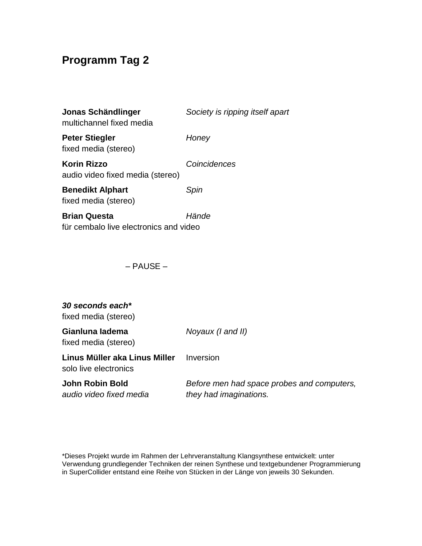#### **Programm Tag 2**

| Jonas Schändlinger<br>multichannel fixed media                | Society is ripping itself apart |
|---------------------------------------------------------------|---------------------------------|
| <b>Peter Stiegler</b><br>fixed media (stereo)                 | Honey                           |
| <b>Korin Rizzo</b><br>audio video fixed media (stereo)        | Coincidences                    |
| <b>Benedikt Alphart</b><br>fixed media (stereo)               | Spin                            |
| <b>Brian Questa</b><br>für cembalo live electronics and video | Hände                           |

– PAUSE –

#### *30 seconds each\** fixed media (stereo) **Gianluna Iadema** *Noyaux (I and II)* fixed media (stereo) **Linus Müller aka Linus Miller** Inversion solo live electronics **John Robin Bold** *Before men had space probes and computers, audio video fixed media they had imaginations.*

\*Dieses Projekt wurde im Rahmen der Lehrveranstaltung Klangsynthese entwickelt: unter Verwendung grundlegender Techniken der reinen Synthese und textgebundener Programmierung in SuperCollider entstand eine Reihe von Stücken in der Länge von jeweils 30 Sekunden.